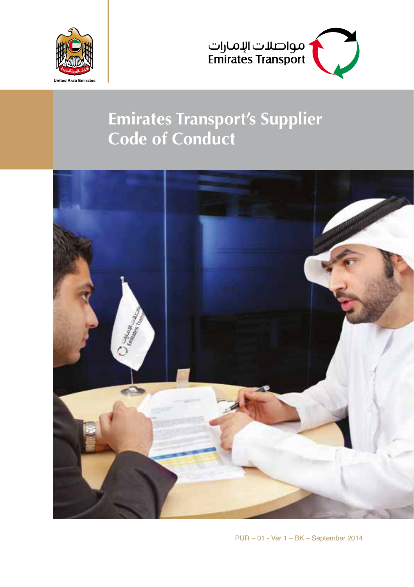



## **Emirates Transport's Supplier Code of Conduct**



 $PUR - 01$  - Ver  $1 - BK -$  September 2014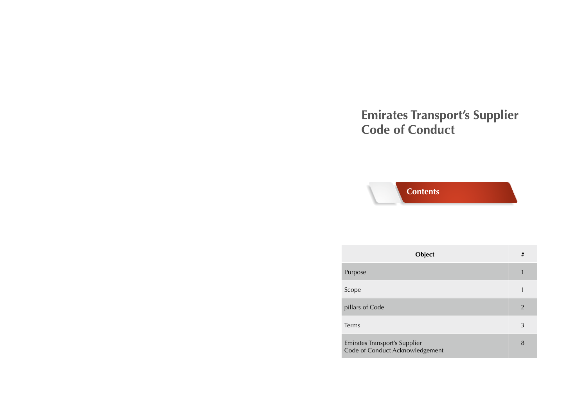# **Emirates Transport's Supplier<br>Code of Conduct**

## **Contents**

| Object                                                                  | # |
|-------------------------------------------------------------------------|---|
| Purpose                                                                 |   |
| Scope                                                                   |   |
| pillars of Code                                                         | 2 |
| Terms                                                                   | 3 |
| <b>Emirates Transport's Supplier</b><br>Code of Conduct Acknowledgement | 8 |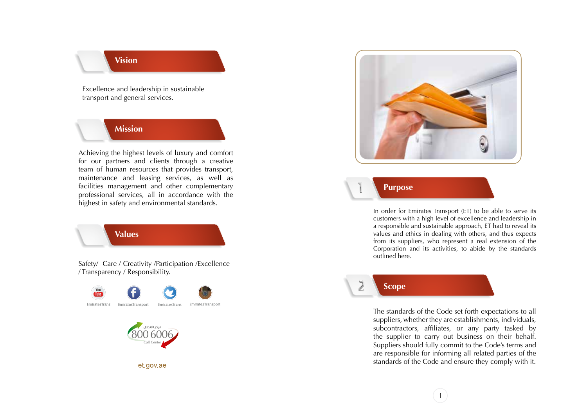### **Vision**

Excellence and leadership in sustainable transport and general services.

#### **Mission**

Achieving the highest levels of luxury and comfort for our partners and clients through a creative team of human resources that provides transport. maintenance and leasing services, as well as facilities management and other complementary professional services, all in accordance with the highest in safety and environmental standards.

**Values**

Safety/ Care / Creativity / Participation / Excellence / Transparency / Responsibility.



et.gov.ae



**Purpose**

In order for Emirates Transport (ET) to be able to serve its customers with a high level of excellence and leadership in a responsible and sustainable approach, ET had to reveal its values and ethics in dealing with others, and thus expects from its suppliers, who represent a real extension of the Corporation and its activities, to abide by the standards outlined here.



 $\overline{z}$ 

The standards of the Code set forth expectations to all suppliers, whether they are establishments, individuals, subcontractors, affiliates, or any party tasked by the supplier to carry out business on their behalf. Suppliers should fully commit to the Code's terms and are responsible for informing all related parties of the standards of the Code and ensure they comply with it.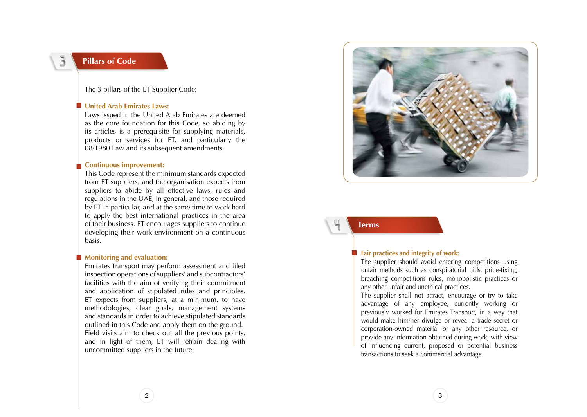$\mathbf{J}$ 

#### **Pillars of Code**

The 3 pillars of the ET Supplier Code:

#### **United Arab Emirates Laws:**

Laws issued in the United Arab Emirates are deemed as the core foundation for this Code, so abiding by its articles is a prerequisite for supplying materials, products or services for ET, and particularly the 08/1980 Law and its subsequent amendments.

#### **Continuous improvement:**

This Code represent the minimum standards expected from ET suppliers, and the organisation expects from suppliers to abide by all effective laws, rules and regulations in the UAE, in general, and those required by ET in particular, and at the same time to work hard to apply the best international practices in the area of their business. ET encourages suppliers to continue developing their work environment on a continuous .basis

#### **Monitoring and evaluation:**

Emirates Transport may perform assessment and filed inspection operations of suppliers' and subcontractors' facilities with the aim of verifying their commitment and application of stipulated rules and principles.  $ET$  expects from suppliers, at a minimum, to have methodologies, clear goals, management systems and standards in order to achieve stipulated standards outlined in this Code and apply them on the ground. Field visits aim to check out all the previous points, and in light of them, ET will refrain dealing with uncommitted suppliers in the future.



**Terms**

#### **Example 1** Fair practices and integrity of work:

The supplier should avoid entering competitions using unfair methods such as conspiratorial bids, price-fixing, breaching competitions rules, monopolistic practices or any other unfair and unethical practices.

The supplier shall not attract, encourage or try to take advantage of any employee, currently working or previously worked for Emirates Transport, in a way that would make him/her divulge or reveal a trade secret or corporation-owned material or any other resource, or provide any information obtained during work, with view of influencing current, proposed or potential business transactions to seek a commercial advantage.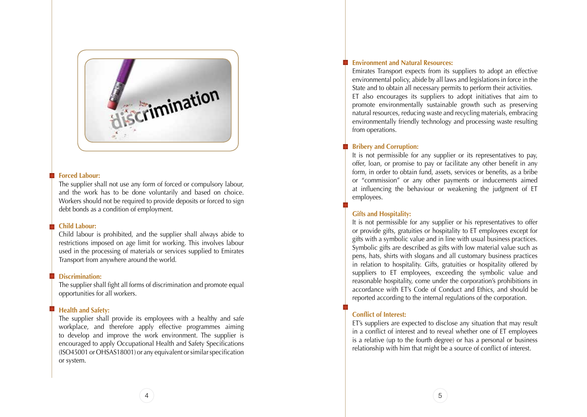

#### **Exerced Labour:**

The supplier shall not use any form of forced or compulsory labour. and the work has to be done voluntarily and based on choice. Workers should not be required to provide deposits or forced to sign debt bonds as a condition of employment.

#### **Child Labour:**

Child labour is prohibited, and the supplier shall always abide to restrictions imposed on age limit for working. This involves labour used in the processing of materials or services supplied to Emirates Transport from anywhere around the world.

#### **:Discrimination**

The supplier shall fight all forms of discrimination and promote equal opportunities for all workers.

#### **Health and Safety:**

The supplier shall provide its employees with a healthy and safe workplace, and therefore apply effective programmes aiming to develop and improve the work environment. The supplier is encouraged to apply Occupational Health and Safety Specifications  $(SO45001$  or  $OHSAS18001)$  or any equivalent or similar specification or system.

#### **Environment and Natural Resources:**

Emirates Transport expects from its suppliers to adopt an effective environmental policy, abide by all laws and legislations in force in the State and to obtain all necessary permits to perform their activities. ET also encourages its suppliers to adopt initiatives that aim to promote environmentally sustainable growth such as preserving natural resources, reducing waste and recycling materials, embracing environmentally friendly technology and processing waste resulting from operations.

#### **Bribery and Corruption:**

It is not permissible for any supplier or its representatives to pay, offer, loan, or promise to pay or facilitate any other benefit in any form, in order to obtain fund, assets, services or benefits, as a bribe or "commission" or any other payments or inducements aimed at influencing the behaviour or weakening the judgment of ET .employees

#### **Gifts and Hospitality:**

It is not permissible for any supplier or his representatives to offer or provide gifts, gratuities or hospitality to ET employees except for gifts with a symbolic value and in line with usual business practices. Symbolic gifts are described as gifts with low material value such as pens, hats, shirts with slogans and all customary business practices in relation to hospitality. Gifts, gratuities or hospitality offered by suppliers to ET employees, exceeding the symbolic value and reasonable hospitality, come under the corporation's prohibitions in accordance with ET's Code of Conduct and Ethics, and should be reported according to the internal regulations of the corporation.

#### **Conflict of Interest:**

ET's suppliers are expected to disclose any situation that may result in a conflict of interest and to reveal whether one of ET employees is a relative (up to the fourth degree) or has a personal or business relationship with him that might be a source of conflict of interest.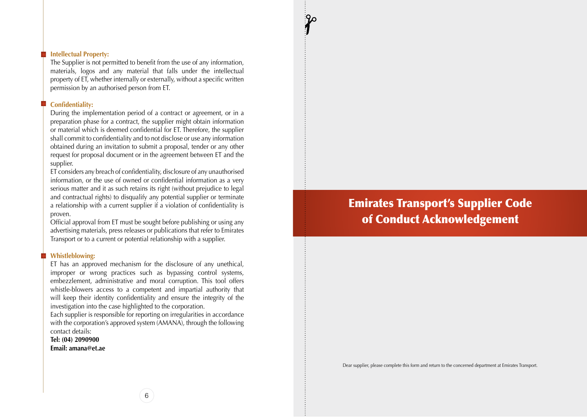#### **Intellectual Property:**

The Supplier is not permitted to benefit from the use of any information, materials, logos and any material that falls under the intellectual property of ET, whether internally or externally, without a specific written permission by an authorised person from ET.

#### **:Confidentiality**

During the implementation period of a contract or agreement, or in a preparation phase for a contract, the supplier might obtain information or material which is deemed confidential for ET. Therefore, the supplier shall commit to confidentiality and to not disclose or use any information obtained during an invitation to submit a proposal, tender or any other request for proposal document or in the agreement between ET and the supplier.

ET considers any breach of confidentiality, disclosure of any unauthorised information, or the use of owned or confidential information as a very serious matter and it as such retains its right (without prejudice to legal and contractual rights) to disqualify any potential supplier or terminate a relationship with a current supplier if a violation of confidentiality is .proven

Official approval from ET must be sought before publishing or using any advertising materials, press releases or publications that refer to Emirates Transport or to a current or potential relationship with a supplier.

#### **:Whistleblowing**

ET has an approved mechanism for the disclosure of any unethical, improper or wrong practices such as bypassing control systems, embezzlement, administrative and moral corruption. This tool offers whistle-blowers access to a competent and impartial authority that will keep their identity confidentiality and ensure the integrity of the investigation into the case highlighted to the corporation.

Each supplier is responsible for reporting on irregularities in accordance with the corporation's approved system  $(AMANA)$ , through the following contact details:

Tel: (04) 2090900 **Email:** amana@et.ae

## **Emirates Transport's Supplier Code** of Conduct Acknowledgement

Dear supplier, please complete this form and return to the concerned department at Emirates Transport.